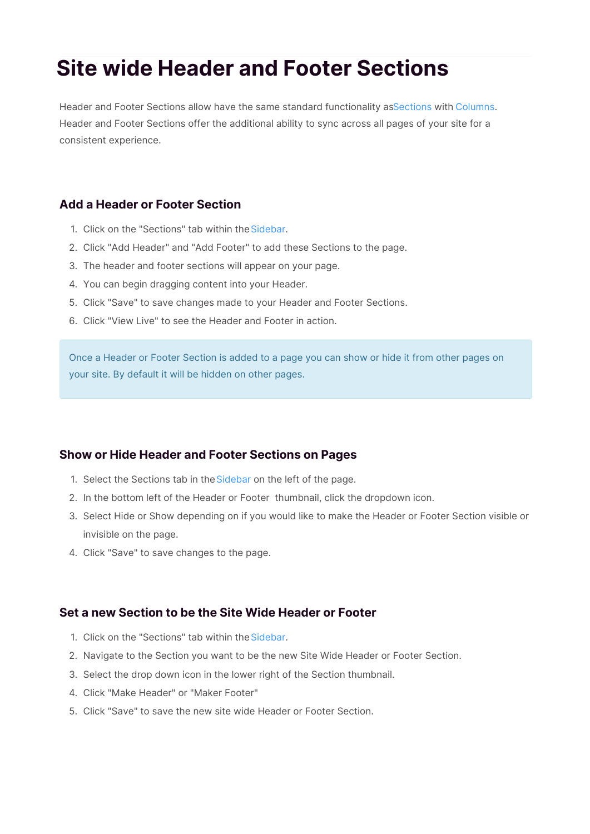# **Site wide Header and Footer Sections**

Header and Footer Sections allow have the same standard functionality asSections with Columns. Header and Footer Sections offer the additional ability to sync across all pages of your site for a consistent experience.

### **Add a Header or Footer Section**

- 1. Click on the "Sections" tab within the Sidebar.
- 2. Click "Add Header" and "Add Footer" to add these Sections to the page.
- 3. The header and footer sections will appear on your page.
- 4. You can begin dragging content into your Header.
- 5. Click "Save" to save changes made to your Header and Footer Sections.
- 6. Click "View Live" to see the Header and Footer in action.

Once a Header or Footer Section is added to a page you can show or hide it from other pages on your site. By default it will be hidden on other pages.

## **Show or Hide Header and Footer Sections on Pages**

- 1. Select the Sections tab in the Sidebar on the left of the page.
- 2. In the bottom left of the Header or Footer thumbnail, click the dropdown icon.
- 3. Select Hide or Show depending on if you would like to make the Header or Footer Section visible or invisible on the page.
- 4. Click "Save" to save changes to the page.

## **Set a new Section to be the Site Wide Header or Footer**

- 1. Click on the "Sections" tab within the Sidebar.
- 2. Navigate to the Section you want to be the new Site Wide Header or Footer Section.
- 3. Select the drop down icon in the lower right of the Section thumbnail.
- 4. Click "Make Header" or "Maker Footer"
- 5. Click "Save" to save the new site wide Header or Footer Section.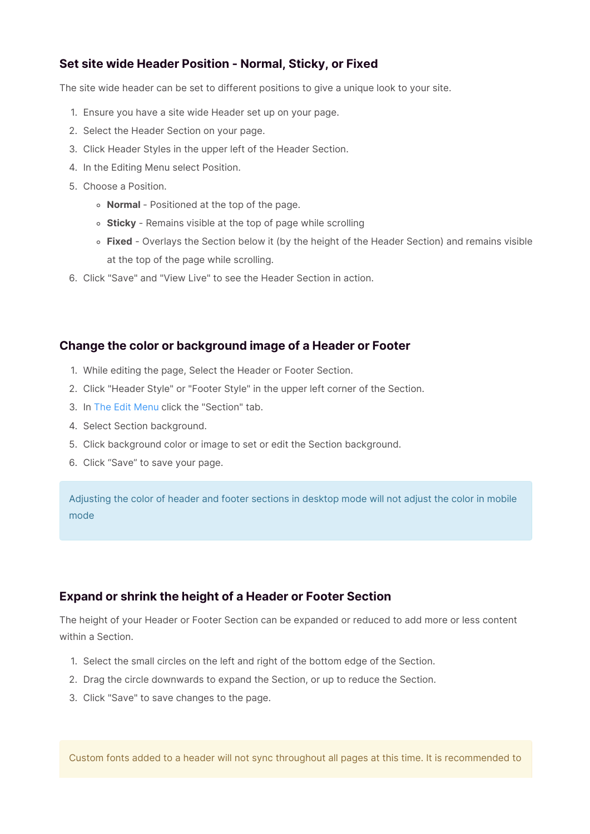## **Set site wide Header Position - Normal, Sticky, or Fixed**

The site wide header can be set to different positions to give a unique look to your site.

- 1. Ensure you have a site wide Header set up on your page.
- 2. Select the Header Section on your page.
- 3. Click Header Styles in the upper left of the Header Section.
- 4. In the Editing Menu select Position.
- 5. Choose a Position.
	- **Normal** Positioned at the top of the page.
	- **Sticky** Remains visible at the top of page while scrolling
	- **Fixed** Overlays the Section below it (by the height of the Header Section) and remains visible at the top of the page while scrolling.
- 6. Click "Save" and "View Live" to see the Header Section in action.

### **Change the color or background image of a Header or Footer**

- 1. While editing the page, Select the Header or Footer Section.
- 2. Click "Header Style" or "Footer Style" in the upper left corner of the Section.
- 3. In The Edit Menu click the "Section" tab.
- 4. Select Section background.
- 5. Click background color or image to set or edit the Section background.
- 6. Click "Save" to save your page.

Adjusting the color of header and footer sections in desktop mode will not adjust the color in mobile mode

### **Expand or shrink the height of a Header or Footer Section**

The height of your Header or Footer Section can be expanded or reduced to add more or less content within a Section.

- 1. Select the small circles on the left and right of the bottom edge of the Section.
- 2. Drag the circle downwards to expand the Section, or up to reduce the Section.
- 3. Click "Save" to save changes to the page.

Custom fonts added to a header will not sync throughout all pages at this time. It is recommended to